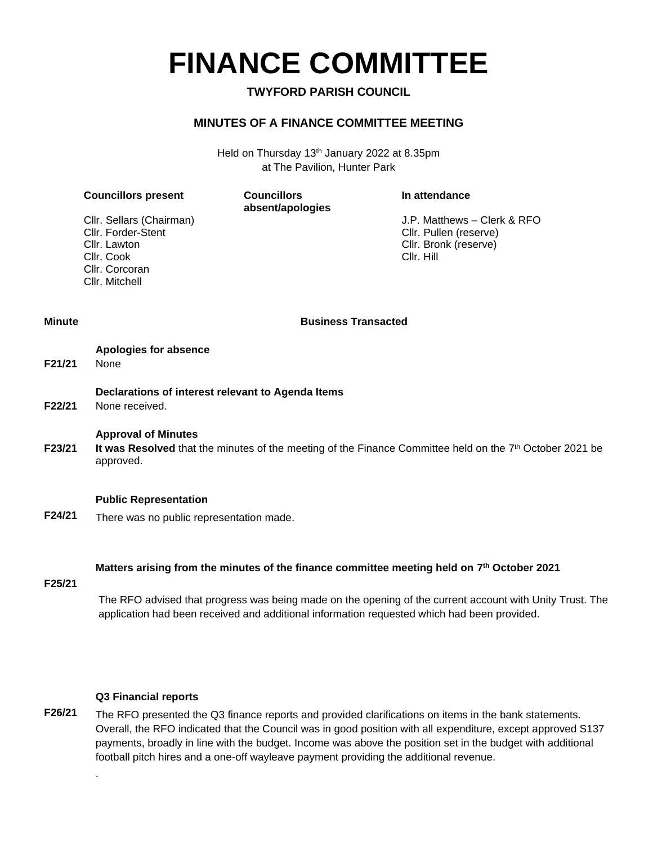# **FINANCE COMMITTEE**

#### **TWYFORD PARISH COUNCIL**

#### **MINUTES OF A FINANCE COMMITTEE MEETING**

Held on Thursday 13th January 2022 at 8.35pm at The Pavilion, Hunter Park

#### **Councillors present Councillors**

**absent/apologies**

#### **In attendance**

Cllr. Forder-Stent Cllr. Lawton Cllr. Cook Cllr. Corcoran Cllr. Mitchell

Cllr. Sellars (Chairman) J.P. Matthews – Clerk & RFO Cllr. Pullen (reserve) Cllr. Bronk (reserve) Cllr. Hill

**Minute Business Transacted**

- **Apologies for absence F21/21** None
	- **Declarations of interest relevant to Agenda Items**
- **F22/21** None received.

#### **Approval of Minutes**

**F23/21** It was Resolved that the minutes of the meeting of the Finance Committee held on the 7<sup>th</sup> October 2021 be approved.

#### **Public Representation**

**F24/21** There was no public representation made.

#### **Matters arising from the minutes of the finance committee meeting held on 7 th October 2021**

**F25/21**

The RFO advised that progress was being made on the opening of the current account with Unity Trust. The application had been received and additional information requested which had been provided.

#### **Q3 Financial reports**

.

**F26/21** The RFO presented the Q3 finance reports and provided clarifications on items in the bank statements. Overall, the RFO indicated that the Council was in good position with all expenditure, except approved S137 payments, broadly in line with the budget. Income was above the position set in the budget with additional football pitch hires and a one-off wayleave payment providing the additional revenue.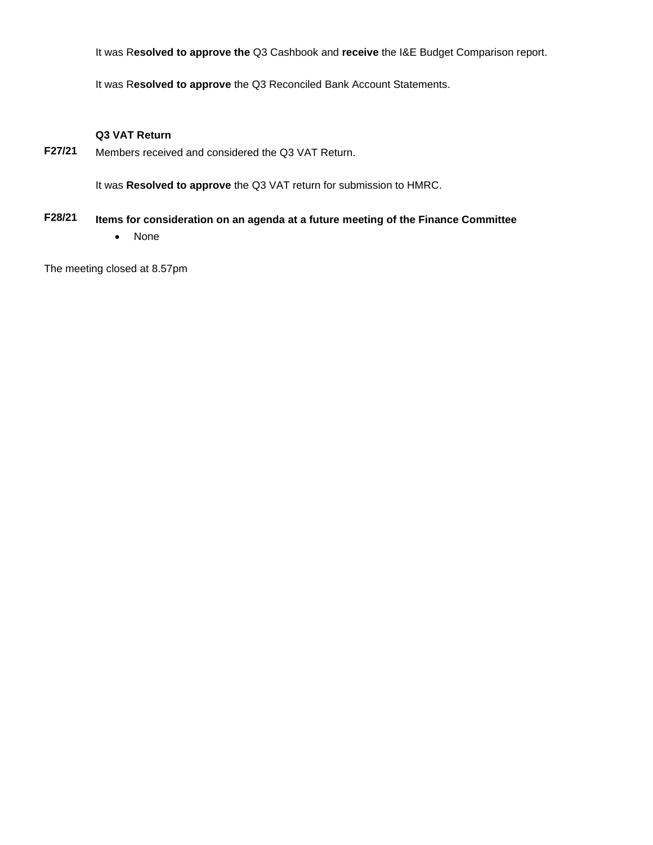It was R**esolved to approve the** Q3 Cashbook and **receive** the I&E Budget Comparison report.

It was R**esolved to approve** the Q3 Reconciled Bank Account Statements.

#### **Q3 VAT Return**

**F27/21** Members received and considered the Q3 VAT Return.

It was **Resolved to approve** the Q3 VAT return for submission to HMRC.

### **F28/21 Items for consideration on an agenda at a future meeting of the Finance Committee**

• None

The meeting closed at 8.57pm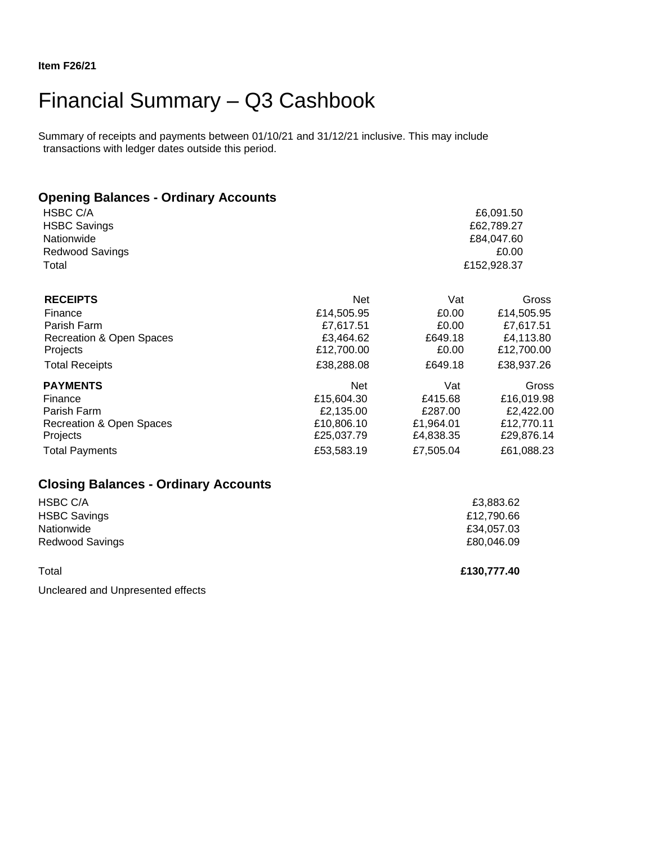## Financial Summary – Q3 Cashbook

Summary of receipts and payments between 01/10/21 and 31/12/21 inclusive. This may include transactions with ledger dates outside this period.

| <b>Opening Balances - Ordinary Accounts</b> |             |            |                                   |  |
|---------------------------------------------|-------------|------------|-----------------------------------|--|
| <b>HSBC C/A</b>                             |             | £6,091.50  |                                   |  |
| <b>HSBC Savings</b>                         |             |            | £62,789.27<br>£84,047.60<br>£0.00 |  |
| Nationwide                                  |             |            |                                   |  |
| <b>Redwood Savings</b>                      |             |            |                                   |  |
| Total                                       | £152,928.37 |            |                                   |  |
| <b>RECEIPTS</b>                             | <b>Net</b>  | Vat        | Gross                             |  |
| Finance                                     | £14,505.95  | £0.00      | £14,505.95                        |  |
| Parish Farm                                 | £7,617.51   | £0.00      | £7,617.51                         |  |
| Recreation & Open Spaces                    | £3,464.62   | £649.18    | £4,113.80                         |  |
| Projects                                    | £12,700.00  | £0.00      | £12,700.00                        |  |
| <b>Total Receipts</b>                       | £38,288.08  | £649.18    | £38,937.26                        |  |
| <b>PAYMENTS</b>                             | <b>Net</b>  | Vat        | Gross                             |  |
| Finance                                     | £15,604.30  | £415.68    | £16,019.98                        |  |
| Parish Farm                                 | £2,135.00   | £287.00    | £2,422.00                         |  |
| <b>Recreation &amp; Open Spaces</b>         | £10,806.10  | £1,964.01  | £12,770.11                        |  |
| Projects                                    | £25,037.79  | £4,838.35  | £29,876.14                        |  |
| <b>Total Payments</b>                       | £53,583.19  | £7,505.04  | £61,088.23                        |  |
| <b>Closing Balances - Ordinary Accounts</b> |             |            |                                   |  |
| HSBC C/A                                    |             | £3,883.62  |                                   |  |
| <b>HSBC Savings</b>                         | £12,790.66  |            |                                   |  |
| Nationwide                                  | £34,057.03  |            |                                   |  |
| <b>Redwood Savings</b>                      |             | £80,046.09 |                                   |  |

Total **£130,777.40**

Uncleared and Unpresented effects